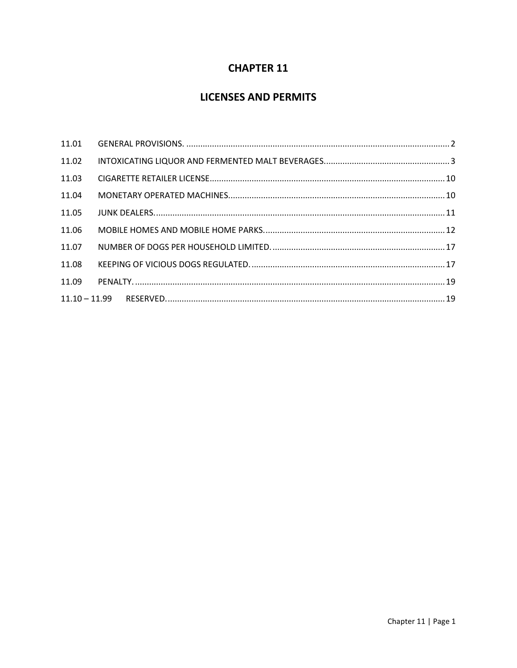# **CHAPTER 11**

# **LICENSES AND PERMITS**

| 11.01 |  |
|-------|--|
| 11.02 |  |
| 11.03 |  |
| 11.04 |  |
| 11.05 |  |
| 11.06 |  |
| 11.07 |  |
| 11.08 |  |
| 11.09 |  |
|       |  |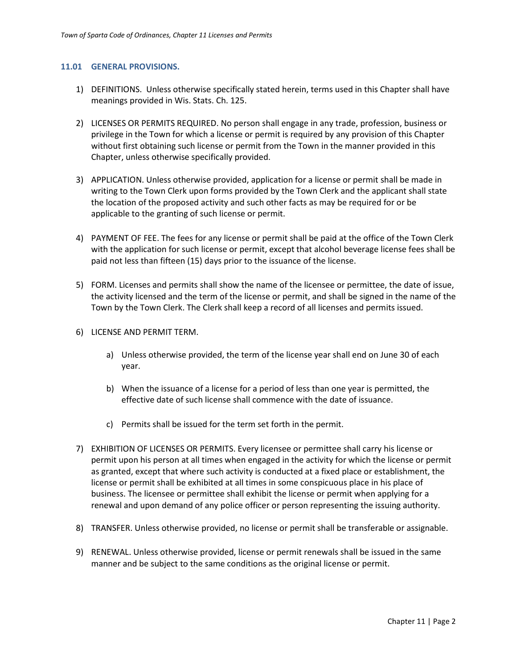#### <span id="page-1-0"></span>**11.01 GENERAL PROVISIONS.**

- 1) DEFINITIONS. Unless otherwise specifically stated herein, terms used in this Chapter shall have meanings provided in Wis. Stats. Ch. 125.
- 2) LICENSES OR PERMITS REQUIRED. No person shall engage in any trade, profession, business or privilege in the Town for which a license or permit is required by any provision of this Chapter without first obtaining such license or permit from the Town in the manner provided in this Chapter, unless otherwise specifically provided.
- 3) APPLICATION. Unless otherwise provided, application for a license or permit shall be made in writing to the Town Clerk upon forms provided by the Town Clerk and the applicant shall state the location of the proposed activity and such other facts as may be required for or be applicable to the granting of such license or permit.
- 4) PAYMENT OF FEE. The fees for any license or permit shall be paid at the office of the Town Clerk with the application for such license or permit, except that alcohol beverage license fees shall be paid not less than fifteen (15) days prior to the issuance of the license.
- 5) FORM. Licenses and permits shall show the name of the licensee or permittee, the date of issue, the activity licensed and the term of the license or permit, and shall be signed in the name of the Town by the Town Clerk. The Clerk shall keep a record of all licenses and permits issued.
- 6) LICENSE AND PERMIT TERM.
	- a) Unless otherwise provided, the term of the license year shall end on June 30 of each year.
	- b) When the issuance of a license for a period of less than one year is permitted, the effective date of such license shall commence with the date of issuance.
	- c) Permits shall be issued for the term set forth in the permit.
- 7) EXHIBITION OF LICENSES OR PERMITS. Every licensee or permittee shall carry his license or permit upon his person at all times when engaged in the activity for which the license or permit as granted, except that where such activity is conducted at a fixed place or establishment, the license or permit shall be exhibited at all times in some conspicuous place in his place of business. The licensee or permittee shall exhibit the license or permit when applying for a renewal and upon demand of any police officer or person representing the issuing authority.
- 8) TRANSFER. Unless otherwise provided, no license or permit shall be transferable or assignable.
- 9) RENEWAL. Unless otherwise provided, license or permit renewals shall be issued in the same manner and be subject to the same conditions as the original license or permit.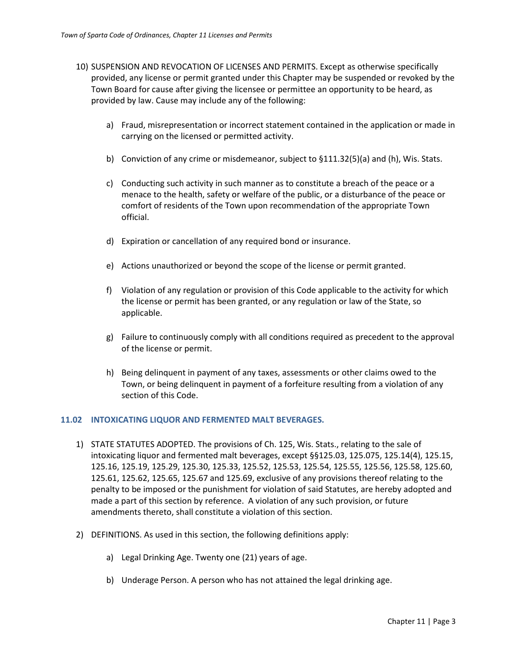- 10) SUSPENSION AND REVOCATION OF LICENSES AND PERMITS. Except as otherwise specifically provided, any license or permit granted under this Chapter may be suspended or revoked by the Town Board for cause after giving the licensee or permittee an opportunity to be heard, as provided by law. Cause may include any of the following:
	- a) Fraud, misrepresentation or incorrect statement contained in the application or made in carrying on the licensed or permitted activity.
	- b) Conviction of any crime or misdemeanor, subject to §111.32(5)(a) and (h), Wis. Stats.
	- c) Conducting such activity in such manner as to constitute a breach of the peace or a menace to the health, safety or welfare of the public, or a disturbance of the peace or comfort of residents of the Town upon recommendation of the appropriate Town official.
	- d) Expiration or cancellation of any required bond or insurance.
	- e) Actions unauthorized or beyond the scope of the license or permit granted.
	- f) Violation of any regulation or provision of this Code applicable to the activity for which the license or permit has been granted, or any regulation or law of the State, so applicable.
	- g) Failure to continuously comply with all conditions required as precedent to the approval of the license or permit.
	- h) Being delinquent in payment of any taxes, assessments or other claims owed to the Town, or being delinquent in payment of a forfeiture resulting from a violation of any section of this Code.

#### <span id="page-2-0"></span>**11.02 INTOXICATING LIQUOR AND FERMENTED MALT BEVERAGES.**

- 1) STATE STATUTES ADOPTED. The provisions of Ch. 125, Wis. Stats., relating to the sale of intoxicating liquor and fermented malt beverages, except §§125.03, 125.075, 125.14(4), 125.15, 125.16, 125.19, 125.29, 125.30, 125.33, 125.52, 125.53, 125.54, 125.55, 125.56, 125.58, 125.60, 125.61, 125.62, 125.65, 125.67 and 125.69, exclusive of any provisions thereof relating to the penalty to be imposed or the punishment for violation of said Statutes, are hereby adopted and made a part of this section by reference. A violation of any such provision, or future amendments thereto, shall constitute a violation of this section.
- 2) DEFINITIONS. As used in this section, the following definitions apply:
	- a) Legal Drinking Age. Twenty one (21) years of age.
	- b) Underage Person. A person who has not attained the legal drinking age.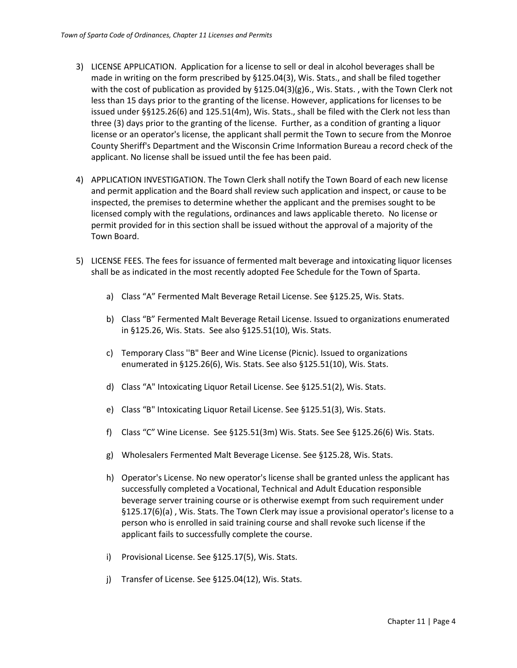- 3) LICENSE APPLICATION. Application for a license to sell or deal in alcohol beverages shall be made in writing on the form prescribed by §125.04(3), Wis. Stats., and shall be filed together with the cost of publication as provided by §125.04(3)(g)6., Wis. Stats. , with the Town Clerk not less than 15 days prior to the granting of the license. However, applications for licenses to be issued under §§125.26(6) and 125.51(4m), Wis. Stats., shall be filed with the Clerk not less than three (3) days prior to the granting of the license. Further, as a condition of granting a liquor license or an operator's license, the applicant shall permit the Town to secure from the Monroe County Sheriff's Department and the Wisconsin Crime Information Bureau a record check of the applicant. No license shall be issued until the fee has been paid.
- 4) APPLICATION INVESTIGATION. The Town Clerk shall notify the Town Board of each new license and permit application and the Board shall review such application and inspect, or cause to be inspected, the premises to determine whether the applicant and the premises sought to be licensed comply with the regulations, ordinances and laws applicable thereto. No license or permit provided for in this section shall be issued without the approval of a majority of the Town Board.
- 5) LICENSE FEES. The fees for issuance of fermented malt beverage and intoxicating liquor licenses shall be as indicated in the most recently adopted Fee Schedule for the Town of Sparta.
	- a) Class "A" Fermented Malt Beverage Retail License. See §125.25, Wis. Stats.
	- b) Class "B" Fermented Malt Beverage Retail License. Issued to organizations enumerated in §125.26, Wis. Stats. See also §125.51(10), Wis. Stats.
	- c) Temporary Class ''B" Beer and Wine License (Picnic). Issued to organizations enumerated in §125.26(6), Wis. Stats. See also §125.51(10), Wis. Stats.
	- d) Class "A" Intoxicating Liquor Retail License. See §125.51(2), Wis. Stats.
	- e) Class "B" Intoxicating Liquor Retail License. See §125.51(3), Wis. Stats.
	- f) Class "C" Wine License. See §125.51(3m) Wis. Stats. See See §125.26(6) Wis. Stats.
	- g) Wholesalers Fermented Malt Beverage License. See §125.28, Wis. Stats.
	- h) Operator's License. No new operator's license shall be granted unless the applicant has successfully completed a Vocational, Technical and Adult Education responsible beverage server training course or is otherwise exempt from such requirement under §125.17(6)(a) , Wis. Stats. The Town Clerk may issue a provisional operator's license to a person who is enrolled in said training course and shall revoke such license if the applicant fails to successfully complete the course.
	- i) Provisional License. See §125.17(5), Wis. Stats.
	- j) Transfer of License. See §125.04(12), Wis. Stats.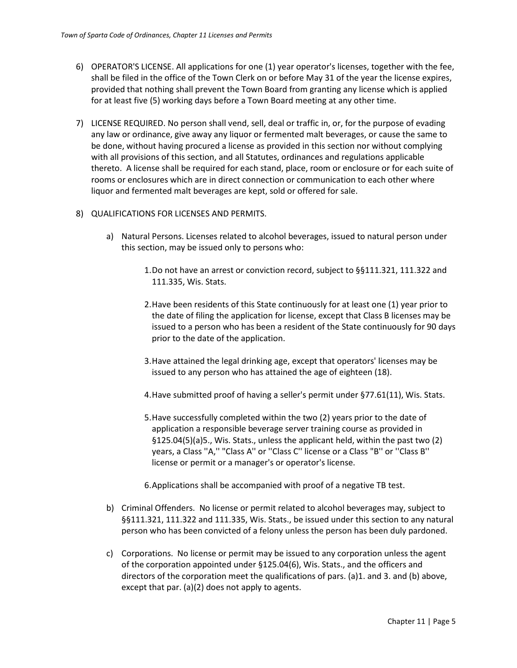- 6) OPERATOR'S LICENSE. All applications for one (1) year operator's licenses, together with the fee, shall be filed in the office of the Town Clerk on or before May 31 of the year the license expires, provided that nothing shall prevent the Town Board from granting any license which is applied for at least five (5) working days before a Town Board meeting at any other time.
- 7) LICENSE REQUIRED. No person shall vend, sell, deal or traffic in, or, for the purpose of evading any law or ordinance, give away any liquor or fermented malt beverages, or cause the same to be done, without having procured a license as provided in this section nor without complying with all provisions of this section, and all Statutes, ordinances and regulations applicable thereto. A license shall be required for each stand, place, room or enclosure or for each suite of rooms or enclosures which are in direct connection or communication to each other where liquor and fermented malt beverages are kept, sold or offered for sale.
- 8) QUALIFICATIONS FOR LICENSES AND PERMITS.
	- a) Natural Persons. Licenses related to alcohol beverages, issued to natural person under this section, may be issued only to persons who:
		- 1.Do not have an arrest or conviction record, subject to §§111.321, 111.322 and 111.335, Wis. Stats.
		- 2.Have been residents of this State continuously for at least one (1) year prior to the date of filing the application for license, except that Class B licenses may be issued to a person who has been a resident of the State continuously for 90 days prior to the date of the application.
		- 3.Have attained the legal drinking age, except that operators' licenses may be issued to any person who has attained the age of eighteen (18).
		- 4.Have submitted proof of having a seller's permit under §77.61(11), Wis. Stats.
		- 5.Have successfully completed within the two (2) years prior to the date of application a responsible beverage server training course as provided in §125.04(5)(a)5., Wis. Stats., unless the applicant held, within the past two (2) years, a Class ''A,'' "Class A'' or ''Class C'' license or a Class "B'' or ''Class B'' license or permit or a manager's or operator's license.

6.Applications shall be accompanied with proof of a negative TB test.

- b) Criminal Offenders. No license or permit related to alcohol beverages may, subject to §§111.321, 111.322 and 111.335, Wis. Stats., be issued under this section to any natural person who has been convicted of a felony unless the person has been duly pardoned.
- c) Corporations. No license or permit may be issued to any corporation unless the agent of the corporation appointed under §125.04(6), Wis. Stats., and the officers and directors of the corporation meet the qualifications of pars. (a)1. and 3. and (b) above, except that par. (a)(2) does not apply to agents.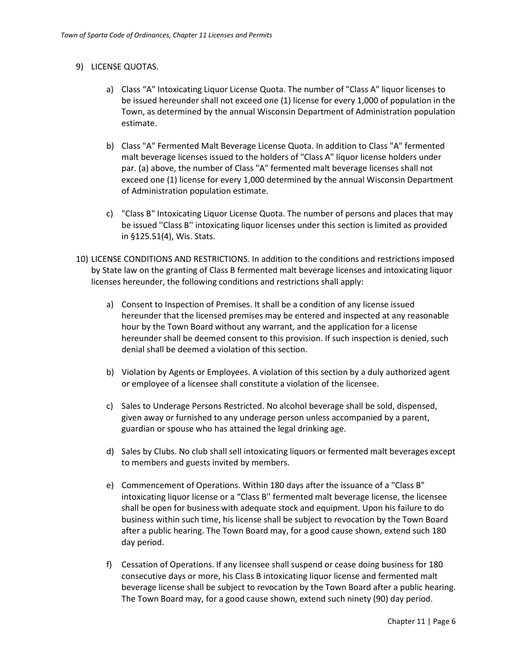# 9) LICENSE QUOTAS.

- a) Class "A" Intoxicating Liquor License Quota. The number of "Class A" liquor licenses to be issued hereunder shall not exceed one (1) license for every 1,000 of population in the Town, as determined by the annual Wisconsin Department of Administration population estimate.
- b) Class "A" Fermented Malt Beverage License Quota. In addition to Class "A" fermented malt beverage licenses issued to the holders of "Class A" liquor license holders under par. (a) above, the number of Class "A" fermented malt beverage licenses shall not exceed one (1) license for every 1,000 determined by the annual Wisconsin Department of Administration population estimate.
- c) "Class B" Intoxicating Liquor License Quota. The number of persons and places that may be issued ''Class B'' intoxicating liquor licenses under this section is limited as provided in §125.51(4), Wis. Stats.
- 10) LICENSE CONDITIONS AND RESTRICTIONS. In addition to the conditions and restrictions imposed by State law on the granting of Class B fermented malt beverage licenses and intoxicating liquor licenses hereunder, the following conditions and restrictions shall apply:
	- a) Consent to Inspection of Premises. It shall be a condition of any license issued hereunder that the licensed premises may be entered and inspected at any reasonable hour by the Town Board without any warrant, and the application for a license hereunder shall be deemed consent to this provision. If such inspection is denied, such denial shall be deemed a violation of this section.
	- b) Violation by Agents or Employees. A violation of this section by a duly authorized agent or employee of a licensee shall constitute a violation of the licensee.
	- c) Sales to Underage Persons Restricted. No alcohol beverage shall be sold, dispensed, given away or furnished to any underage person unless accompanied by a parent, guardian or spouse who has attained the legal drinking age.
	- d) Sales by Clubs. No club shall sell intoxicating liquors or fermented malt beverages except to members and guests invited by members.
	- e) Commencement of Operations. Within 180 days after the issuance of a "Class B" intoxicating liquor license or a "Class B'' fermented malt beverage license, the licensee shall be open for business with adequate stock and equipment. Upon his failure to do business within such time, his license shall be subject to revocation by the Town Board after a public hearing. The Town Board may, for a good cause shown, extend such 180 day period.
	- f) Cessation of Operations. If any licensee shall suspend or cease doing business for 180 consecutive days or more, his Class B intoxicating liquor license and fermented malt beverage license shall be subject to revocation by the Town Board after a public hearing. The Town Board may, for a good cause shown, extend such ninety (90) day period.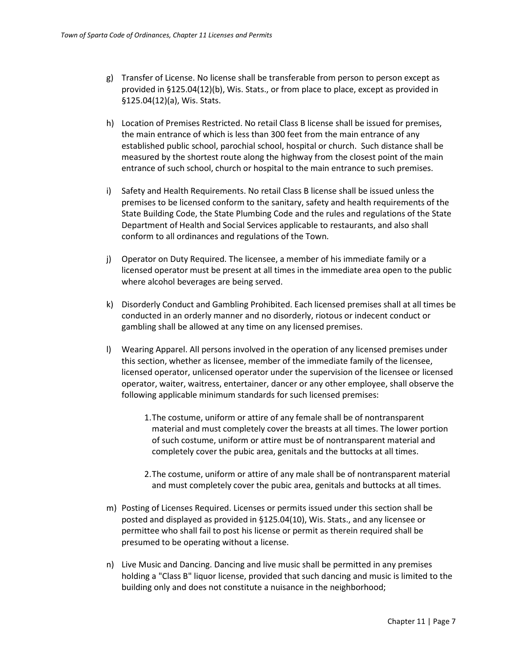- g) Transfer of License. No license shall be transferable from person to person except as provided in §125.04(12)(b), Wis. Stats., or from place to place, except as provided in §125.04(12)(a), Wis. Stats.
- h) Location of Premises Restricted. No retail Class B license shall be issued for premises, the main entrance of which is less than 300 feet from the main entrance of any established public school, parochial school, hospital or church. Such distance shall be measured by the shortest route along the highway from the closest point of the main entrance of such school, church or hospital to the main entrance to such premises.
- i) Safety and Health Requirements. No retail Class B license shall be issued unless the premises to be licensed conform to the sanitary, safety and health requirements of the State Building Code, the State Plumbing Code and the rules and regulations of the State Department of Health and Social Services applicable to restaurants, and also shall conform to all ordinances and regulations of the Town.
- j) Operator on Duty Required. The licensee, a member of his immediate family or a licensed operator must be present at all times in the immediate area open to the public where alcohol beverages are being served.
- k) Disorderly Conduct and Gambling Prohibited. Each licensed premises shall at all times be conducted in an orderly manner and no disorderly, riotous or indecent conduct or gambling shall be allowed at any time on any licensed premises.
- l) Wearing Apparel. All persons involved in the operation of any licensed premises under this section, whether as licensee, member of the immediate family of the licensee, licensed operator, unlicensed operator under the supervision of the licensee or licensed operator, waiter, waitress, entertainer, dancer or any other employee, shall observe the following applicable minimum standards for such licensed premises:
	- 1.The costume, uniform or attire of any female shall be of nontransparent material and must completely cover the breasts at all times. The lower portion of such costume, uniform or attire must be of nontransparent material and completely cover the pubic area, genitals and the buttocks at all times.
	- 2.The costume, uniform or attire of any male shall be of nontransparent material and must completely cover the pubic area, genitals and buttocks at all times.
- m) Posting of Licenses Required. Licenses or permits issued under this section shall be posted and displayed as provided in §125.04(10), Wis. Stats., and any licensee or permittee who shall fail to post his license or permit as therein required shall be presumed to be operating without a license.
- n) Live Music and Dancing. Dancing and live music shall be permitted in any premises holding a "Class B" liquor license, provided that such dancing and music is limited to the building only and does not constitute a nuisance in the neighborhood;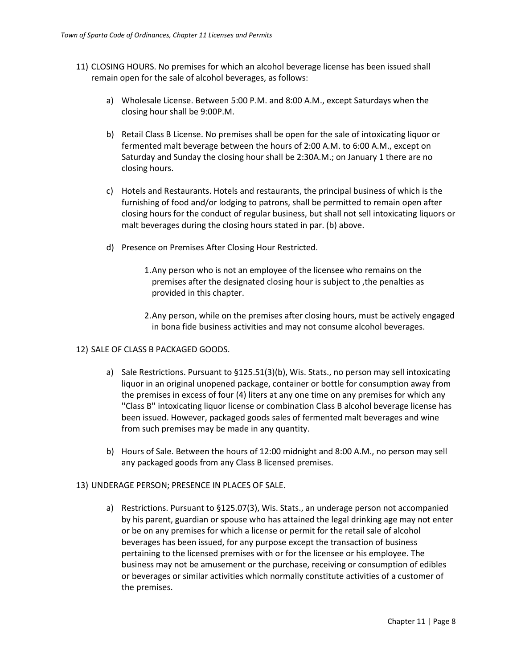- 11) CLOSING HOURS. No premises for which an alcohol beverage license has been issued shall remain open for the sale of alcohol beverages, as follows:
	- a) Wholesale License. Between 5:00 P.M. and 8:00 A.M., except Saturdays when the closing hour shall be 9:00P.M.
	- b) Retail Class B License. No premises shall be open for the sale of intoxicating liquor or fermented malt beverage between the hours of 2:00 A.M. to 6:00 A.M., except on Saturday and Sunday the closing hour shall be 2:30A.M.; on January 1 there are no closing hours.
	- c) Hotels and Restaurants. Hotels and restaurants, the principal business of which is the furnishing of food and/or lodging to patrons, shall be permitted to remain open after closing hours for the conduct of regular business, but shall not sell intoxicating liquors or malt beverages during the closing hours stated in par. (b) above.
	- d) Presence on Premises After Closing Hour Restricted.
		- 1.Any person who is not an employee of the licensee who remains on the premises after the designated closing hour is subject to ,the penalties as provided in this chapter.
		- 2.Any person, while on the premises after closing hours, must be actively engaged in bona fide business activities and may not consume alcohol beverages.

## 12) SALE OF CLASS B PACKAGED GOODS.

- a) Sale Restrictions. Pursuant to §125.51(3)(b), Wis. Stats., no person may sell intoxicating liquor in an original unopened package, container or bottle for consumption away from the premises in excess of four (4) liters at any one time on any premises for which any ''Class B'' intoxicating liquor license or combination Class B alcohol beverage license has been issued. However, packaged goods sales of fermented malt beverages and wine from such premises may be made in any quantity.
- b) Hours of Sale. Between the hours of 12:00 midnight and 8:00 A.M., no person may sell any packaged goods from any Class B licensed premises.

#### 13) UNDERAGE PERSON; PRESENCE IN PLACES OF SALE.

a) Restrictions. Pursuant to §125.07(3), Wis. Stats., an underage person not accompanied by his parent, guardian or spouse who has attained the legal drinking age may not enter or be on any premises for which a license or permit for the retail sale of alcohol beverages has been issued, for any purpose except the transaction of business pertaining to the licensed premises with or for the licensee or his employee. The business may not be amusement or the purchase, receiving or consumption of edibles or beverages or similar activities which normally constitute activities of a customer of the premises.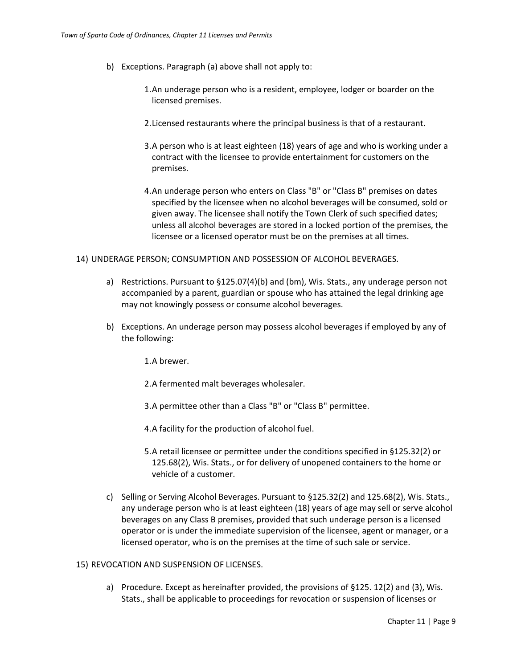- b) Exceptions. Paragraph (a) above shall not apply to:
	- 1.An underage person who is a resident, employee, lodger or boarder on the licensed premises.
	- 2.Licensed restaurants where the principal business is that of a restaurant.
	- 3.A person who is at least eighteen (18) years of age and who is working under a contract with the licensee to provide entertainment for customers on the premises.
	- 4.An underage person who enters on Class "B" or "Class B" premises on dates specified by the licensee when no alcohol beverages will be consumed, sold or given away. The licensee shall notify the Town Clerk of such specified dates; unless all alcohol beverages are stored in a locked portion of the premises, the licensee or a licensed operator must be on the premises at all times.

#### 14) UNDERAGE PERSON; CONSUMPTION AND POSSESSION OF ALCOHOL BEVERAGES.

- a) Restrictions. Pursuant to §125.07(4)(b) and (bm), Wis. Stats., any underage person not accompanied by a parent, guardian or spouse who has attained the legal drinking age may not knowingly possess or consume alcohol beverages.
- b) Exceptions. An underage person may possess alcohol beverages if employed by any of the following:

1.A brewer.

- 2.A fermented malt beverages wholesaler.
- 3.A permittee other than a Class "B" or "Class B" permittee.

4.A facility for the production of alcohol fuel.

- 5.A retail licensee or permittee under the conditions specified in §125.32(2) or 125.68(2), Wis. Stats., or for delivery of unopened containers to the home or vehicle of a customer.
- c) Selling or Serving Alcohol Beverages. Pursuant to §125.32(2) and 125.68(2), Wis. Stats., any underage person who is at least eighteen (18) years of age may sell or serve alcohol beverages on any Class B premises, provided that such underage person is a licensed operator or is under the immediate supervision of the licensee, agent or manager, or a licensed operator, who is on the premises at the time of such sale or service.

## 15) REVOCATION AND SUSPENSION OF LICENSES.

a) Procedure. Except as hereinafter provided, the provisions of §125. 12(2) and (3), Wis. Stats., shall be applicable to proceedings for revocation or suspension of licenses or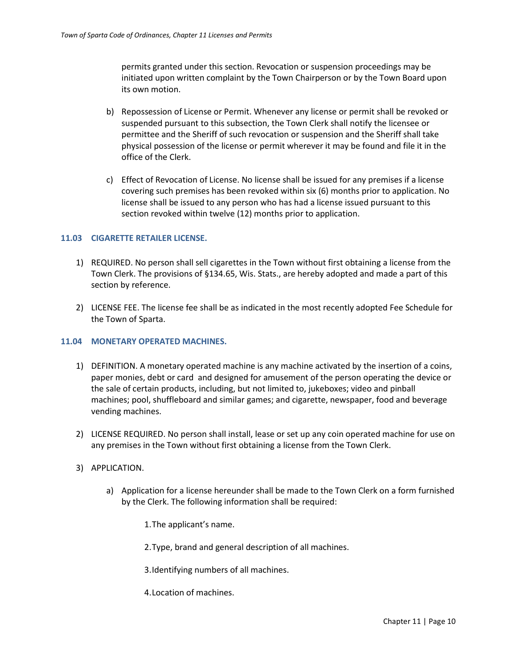permits granted under this section. Revocation or suspension proceedings may be initiated upon written complaint by the Town Chairperson or by the Town Board upon its own motion.

- b) Repossession of License or Permit. Whenever any license or permit shall be revoked or suspended pursuant to this subsection, the Town Clerk shall notify the licensee or permittee and the Sheriff of such revocation or suspension and the Sheriff shall take physical possession of the license or permit wherever it may be found and file it in the office of the Clerk.
- c) Effect of Revocation of License. No license shall be issued for any premises if a license covering such premises has been revoked within six (6) months prior to application. No license shall be issued to any person who has had a license issued pursuant to this section revoked within twelve (12) months prior to application.

#### <span id="page-9-0"></span>**11.03 CIGARETTE RETAILER LICENSE.**

- 1) REQUIRED. No person shall sell cigarettes in the Town without first obtaining a license from the Town Clerk. The provisions of §134.65, Wis. Stats., are hereby adopted and made a part of this section by reference.
- 2) LICENSE FEE. The license fee shall be as indicated in the most recently adopted Fee Schedule for the Town of Sparta.

## <span id="page-9-1"></span>**11.04 MONETARY OPERATED MACHINES.**

- 1) DEFINITION. A monetary operated machine is any machine activated by the insertion of a coins, paper monies, debt or card and designed for amusement of the person operating the device or the sale of certain products, including, but not limited to, jukeboxes; video and pinball machines; pool, shuffleboard and similar games; and cigarette, newspaper, food and beverage vending machines.
- 2) LICENSE REQUIRED. No person shall install, lease or set up any coin operated machine for use on any premises in the Town without first obtaining a license from the Town Clerk.
- 3) APPLICATION.
	- a) Application for a license hereunder shall be made to the Town Clerk on a form furnished by the Clerk. The following information shall be required:
		- 1.The applicant's name.
		- 2.Type, brand and general description of all machines.
		- 3.Identifying numbers of all machines.
		- 4.Location of machines.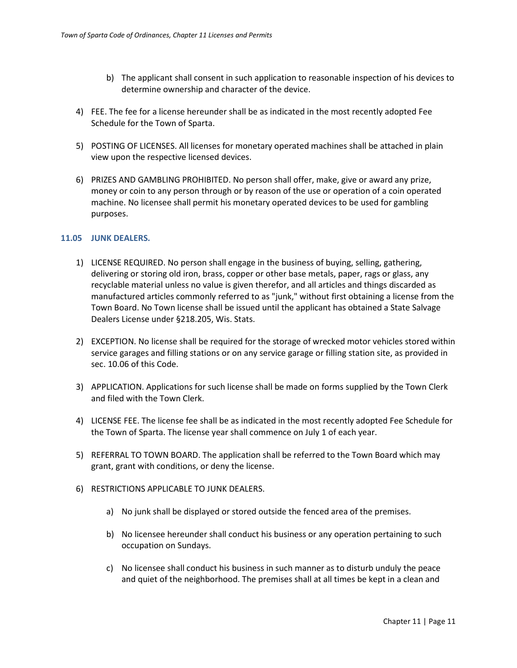- b) The applicant shall consent in such application to reasonable inspection of his devices to determine ownership and character of the device.
- 4) FEE. The fee for a license hereunder shall be as indicated in the most recently adopted Fee Schedule for the Town of Sparta.
- 5) POSTING OF LICENSES. All licenses for monetary operated machines shall be attached in plain view upon the respective licensed devices.
- 6) PRIZES AND GAMBLING PROHIBITED. No person shall offer, make, give or award any prize, money or coin to any person through or by reason of the use or operation of a coin operated machine. No licensee shall permit his monetary operated devices to be used for gambling purposes.

## <span id="page-10-0"></span>**11.05 JUNK DEALERS.**

- 1) LICENSE REQUIRED. No person shall engage in the business of buying, selling, gathering, delivering or storing old iron, brass, copper or other base metals, paper, rags or glass, any recyclable material unless no value is given therefor, and all articles and things discarded as manufactured articles commonly referred to as "junk," without first obtaining a license from the Town Board. No Town license shall be issued until the applicant has obtained a State Salvage Dealers License under §218.205, Wis. Stats.
- 2) EXCEPTION. No license shall be required for the storage of wrecked motor vehicles stored within service garages and filling stations or on any service garage or filling station site, as provided in sec. 10.06 of this Code.
- 3) APPLICATION. Applications for such license shall be made on forms supplied by the Town Clerk and filed with the Town Clerk.
- 4) LICENSE FEE. The license fee shall be as indicated in the most recently adopted Fee Schedule for the Town of Sparta. The license year shall commence on July 1 of each year.
- 5) REFERRAL TO TOWN BOARD. The application shall be referred to the Town Board which may grant, grant with conditions, or deny the license.
- 6) RESTRICTIONS APPLICABLE TO JUNK DEALERS.
	- a) No junk shall be displayed or stored outside the fenced area of the premises.
	- b) No licensee hereunder shall conduct his business or any operation pertaining to such occupation on Sundays.
	- c) No licensee shall conduct his business in such manner as to disturb unduly the peace and quiet of the neighborhood. The premises shall at all times be kept in a clean and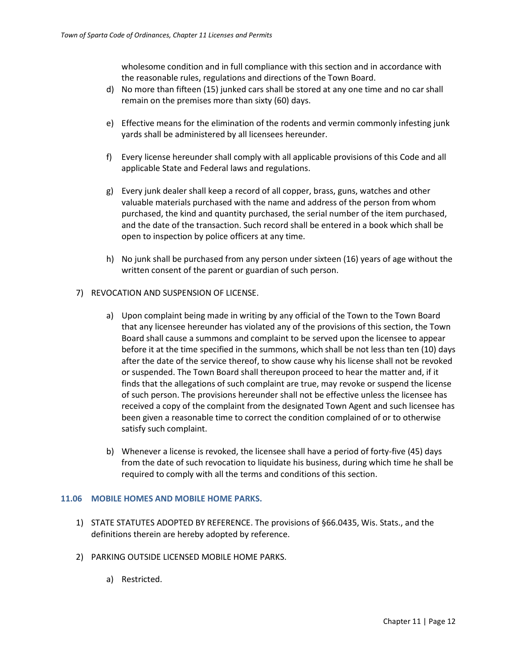wholesome condition and in full compliance with this section and in accordance with the reasonable rules, regulations and directions of the Town Board.

- d) No more than fifteen (15) junked cars shall be stored at any one time and no car shall remain on the premises more than sixty (60) days.
- e) Effective means for the elimination of the rodents and vermin commonly infesting junk yards shall be administered by all licensees hereunder.
- f) Every license hereunder shall comply with all applicable provisions of this Code and all applicable State and Federal laws and regulations.
- g) Every junk dealer shall keep a record of all copper, brass, guns, watches and other valuable materials purchased with the name and address of the person from whom purchased, the kind and quantity purchased, the serial number of the item purchased, and the date of the transaction. Such record shall be entered in a book which shall be open to inspection by police officers at any time.
- h) No junk shall be purchased from any person under sixteen (16) years of age without the written consent of the parent or guardian of such person.

## 7) REVOCATION AND SUSPENSION OF LICENSE.

- a) Upon complaint being made in writing by any official of the Town to the Town Board that any licensee hereunder has violated any of the provisions of this section, the Town Board shall cause a summons and complaint to be served upon the licensee to appear before it at the time specified in the summons, which shall be not less than ten (10) days after the date of the service thereof, to show cause why his license shall not be revoked or suspended. The Town Board shall thereupon proceed to hear the matter and, if it finds that the allegations of such complaint are true, may revoke or suspend the license of such person. The provisions hereunder shall not be effective unless the licensee has received a copy of the complaint from the designated Town Agent and such licensee has been given a reasonable time to correct the condition complained of or to otherwise satisfy such complaint.
- b) Whenever a license is revoked, the licensee shall have a period of forty-five (45) days from the date of such revocation to liquidate his business, during which time he shall be required to comply with all the terms and conditions of this section.

## <span id="page-11-0"></span>**11.06 MOBILE HOMES AND MOBILE HOME PARKS.**

- 1) STATE STATUTES ADOPTED BY REFERENCE. The provisions of §66.0435, Wis. Stats., and the definitions therein are hereby adopted by reference.
- 2) PARKING OUTSIDE LICENSED MOBILE HOME PARKS.
	- a) Restricted.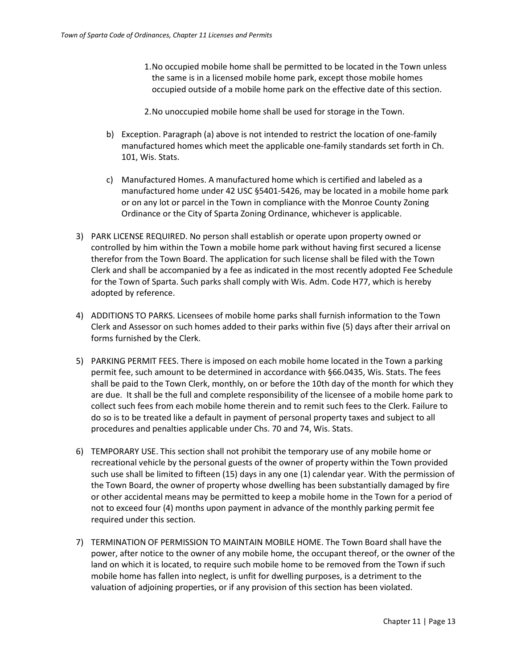- 1.No occupied mobile home shall be permitted to be located in the Town unless the same is in a licensed mobile home park, except those mobile homes occupied outside of a mobile home park on the effective date of this section.
- 2.No unoccupied mobile home shall be used for storage in the Town.
- b) Exception. Paragraph (a) above is not intended to restrict the location of one-family manufactured homes which meet the applicable one-family standards set forth in Ch. 101, Wis. Stats.
- c) Manufactured Homes. A manufactured home which is certified and labeled as a manufactured home under 42 USC §5401-5426, may be located in a mobile home park or on any lot or parcel in the Town in compliance with the Monroe County Zoning Ordinance or the City of Sparta Zoning Ordinance, whichever is applicable.
- 3) PARK LICENSE REQUIRED. No person shall establish or operate upon property owned or controlled by him within the Town a mobile home park without having first secured a license therefor from the Town Board. The application for such license shall be filed with the Town Clerk and shall be accompanied by a fee as indicated in the most recently adopted Fee Schedule for the Town of Sparta. Such parks shall comply with Wis. Adm. Code H77, which is hereby adopted by reference.
- 4) ADDITIONS TO PARKS. Licensees of mobile home parks shall furnish information to the Town Clerk and Assessor on such homes added to their parks within five (5) days after their arrival on forms furnished by the Clerk.
- 5) PARKING PERMIT FEES. There is imposed on each mobile home located in the Town a parking permit fee, such amount to be determined in accordance with §66.0435, Wis. Stats. The fees shall be paid to the Town Clerk, monthly, on or before the 10th day of the month for which they are due. It shall be the full and complete responsibility of the licensee of a mobile home park to collect such fees from each mobile home therein and to remit such fees to the Clerk. Failure to do so is to be treated like a default in payment of personal property taxes and subject to all procedures and penalties applicable under Chs. 70 and 74, Wis. Stats.
- 6) TEMPORARY USE. This section shall not prohibit the temporary use of any mobile home or recreational vehicle by the personal guests of the owner of property within the Town provided such use shall be limited to fifteen (15) days in any one (1) calendar year. With the permission of the Town Board, the owner of property whose dwelling has been substantially damaged by fire or other accidental means may be permitted to keep a mobile home in the Town for a period of not to exceed four (4) months upon payment in advance of the monthly parking permit fee required under this section.
- 7) TERMINATION OF PERMISSION TO MAINTAIN MOBILE HOME. The Town Board shall have the power, after notice to the owner of any mobile home, the occupant thereof, or the owner of the land on which it is located, to require such mobile home to be removed from the Town if such mobile home has fallen into neglect, is unfit for dwelling purposes, is a detriment to the valuation of adjoining properties, or if any provision of this section has been violated.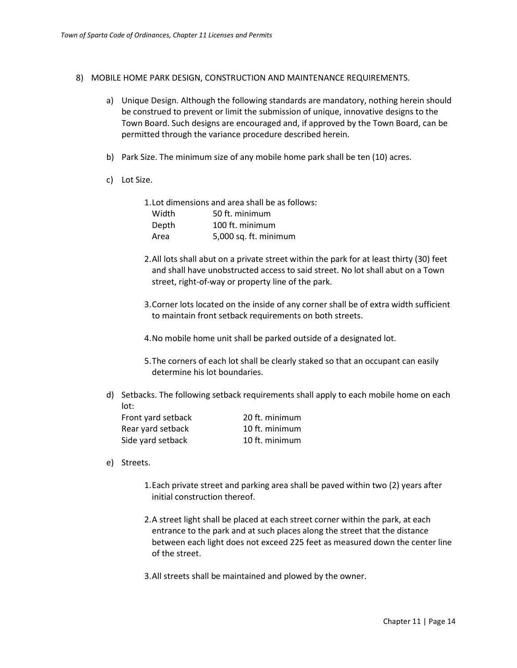- 8) MOBILE HOME PARK DESIGN, CONSTRUCTION AND MAINTENANCE REQUIREMENTS.
	- a) Unique Design. Although the following standards are mandatory, nothing herein should be construed to prevent or limit the submission of unique, innovative designs to the Town Board. Such designs are encouraged and, if approved by the Town Board, can be permitted through the variance procedure described herein.
	- b) Park Size. The minimum size of any mobile home park shall be ten (10) acres.
	- c) Lot Size.

| 1. Lot dimensions and area shall be as follows: |                       |  |  |  |  |
|-------------------------------------------------|-----------------------|--|--|--|--|
| Width                                           | 50 ft. minimum        |  |  |  |  |
| Depth                                           | 100 ft. minimum       |  |  |  |  |
| Area                                            | 5,000 sq. ft. minimum |  |  |  |  |

- 2.All lots shall abut on a private street within the park for at least thirty (30) feet and shall have unobstructed access to said street. No lot shall abut on a Town street, right-of-way or property line of the park.
- 3.Corner lots located on the inside of any corner shall be of extra width sufficient to maintain front setback requirements on both streets.
- 4.No mobile home unit shall be parked outside of a designated lot.
- 5.The corners of each lot shall be clearly staked so that an occupant can easily determine his lot boundaries.
- d) Setbacks. The following setback requirements shall apply to each mobile home on each lot:

| Front yard setback | 20 ft. minimum |
|--------------------|----------------|
| Rear yard setback  | 10 ft. minimum |
| Side yard setback  | 10 ft. minimum |

- e) Streets.
	- 1.Each private street and parking area shall be paved within two (2) years after initial construction thereof.
	- 2.A street light shall be placed at each street corner within the park, at each entrance to the park and at such places along the street that the distance between each light does not exceed 225 feet as measured down the center line of the street.
	- 3.All streets shall be maintained and plowed by the owner.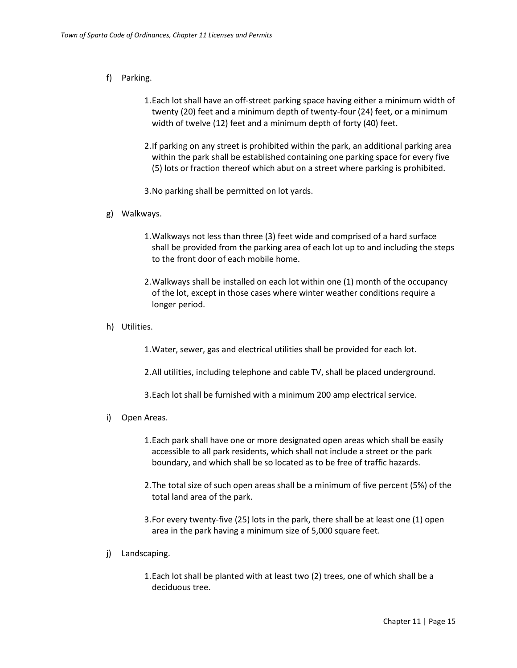## f) Parking.

- 1.Each lot shall have an off-street parking space having either a minimum width of twenty (20) feet and a minimum depth of twenty-four (24) feet, or a minimum width of twelve (12) feet and a minimum depth of forty (40) feet.
- 2.If parking on any street is prohibited within the park, an additional parking area within the park shall be established containing one parking space for every five (5) lots or fraction thereof which abut on a street where parking is prohibited.
- 3.No parking shall be permitted on lot yards.
- g) Walkways.
	- 1.Walkways not less than three (3) feet wide and comprised of a hard surface shall be provided from the parking area of each lot up to and including the steps to the front door of each mobile home.
	- 2.Walkways shall be installed on each lot within one (1) month of the occupancy of the lot, except in those cases where winter weather conditions require a longer period.
- h) Utilities.

1.Water, sewer, gas and electrical utilities shall be provided for each lot.

2.All utilities, including telephone and cable TV, shall be placed underground.

3.Each lot shall be furnished with a minimum 200 amp electrical service.

- i) Open Areas.
	- 1.Each park shall have one or more designated open areas which shall be easily accessible to all park residents, which shall not include a street or the park boundary, and which shall be so located as to be free of traffic hazards.
	- 2.The total size of such open areas shall be a minimum of five percent (5%) of the total land area of the park.
	- 3.For every twenty-five (25) lots in the park, there shall be at least one (1) open area in the park having a minimum size of 5,000 square feet.
- j) Landscaping.

1.Each lot shall be planted with at least two (2) trees, one of which shall be a deciduous tree.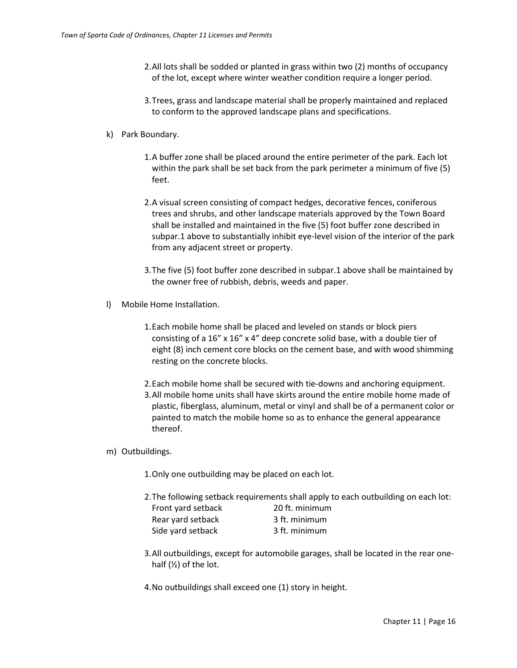- 2.All lots shall be sodded or planted in grass within two (2) months of occupancy of the lot, except where winter weather condition require a longer period.
- 3.Trees, grass and landscape material shall be properly maintained and replaced to conform to the approved landscape plans and specifications.

## k) Park Boundary.

- 1.A buffer zone shall be placed around the entire perimeter of the park. Each lot within the park shall be set back from the park perimeter a minimum of five (5) feet.
- 2.A visual screen consisting of compact hedges, decorative fences, coniferous trees and shrubs, and other landscape materials approved by the Town Board shall be installed and maintained in the five (5) foot buffer zone described in subpar.1 above to substantially inhibit eye-level vision of the interior of the park from any adjacent street or property.
- 3.The five (5) foot buffer zone described in subpar.1 above shall be maintained by the owner free of rubbish, debris, weeds and paper.
- l) Mobile Home Installation.
	- 1.Each mobile home shall be placed and leveled on stands or block piers consisting of a 16" x 16" x 4" deep concrete solid base, with a double tier of eight (8) inch cement core blocks on the cement base, and with wood shimming resting on the concrete blocks.
	- 2.Each mobile home shall be secured with tie-downs and anchoring equipment.
	- 3.All mobile home units shall have skirts around the entire mobile home made of plastic, fiberglass, aluminum, metal or vinyl and shall be of a permanent color or painted to match the mobile home so as to enhance the general appearance thereof.

#### m) Outbuildings.

- 1.Only one outbuilding may be placed on each lot.
- 2.The following setback requirements shall apply to each outbuilding on each lot:

| Front yard setback | 20 ft. minimum |
|--------------------|----------------|
| Rear yard setback  | 3 ft. minimum  |
| Side yard setback  | 3 ft. minimum  |

- 3.All outbuildings, except for automobile garages, shall be located in the rear onehalf  $(Y_2)$  of the lot.
- 4.No outbuildings shall exceed one (1) story in height.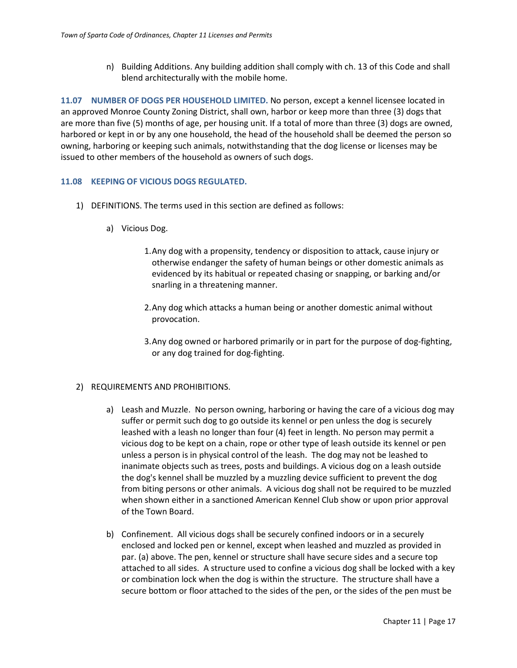n) Building Additions. Any building addition shall comply with ch. 13 of this Code and shall blend architecturally with the mobile home.

<span id="page-16-0"></span>**11.07 NUMBER OF DOGS PER HOUSEHOLD LIMITED.** No person, except a kennel licensee located in an approved Monroe County Zoning District, shall own, harbor or keep more than three (3) dogs that are more than five (5) months of age, per housing unit. If a total of more than three (3) dogs are owned, harbored or kept in or by any one household, the head of the household shall be deemed the person so owning, harboring or keeping such animals, notwithstanding that the dog license or licenses may be issued to other members of the household as owners of such dogs.

#### <span id="page-16-1"></span>**11.08 KEEPING OF VICIOUS DOGS REGULATED.**

- 1) DEFINITIONS. The terms used in this section are defined as follows:
	- a) Vicious Dog.
		- 1.Any dog with a propensity, tendency or disposition to attack, cause injury or otherwise endanger the safety of human beings or other domestic animals as evidenced by its habitual or repeated chasing or snapping, or barking and/or snarling in a threatening manner.
		- 2.Any dog which attacks a human being or another domestic animal without provocation.
		- 3.Any dog owned or harbored primarily or in part for the purpose of dog-fighting, or any dog trained for dog-fighting.

#### 2) REQUIREMENTS AND PROHIBITIONS.

- a) Leash and Muzzle. No person owning, harboring or having the care of a vicious dog may suffer or permit such dog to go outside its kennel or pen unless the dog is securely leashed with a leash no longer than four (4) feet in length. No person may permit a vicious dog to be kept on a chain, rope or other type of leash outside its kennel or pen unless a person is in physical control of the leash. The dog may not be leashed to inanimate objects such as trees, posts and buildings. A vicious dog on a leash outside the dog's kennel shall be muzzled by a muzzling device sufficient to prevent the dog from biting persons or other animals. A vicious dog shall not be required to be muzzled when shown either in a sanctioned American Kennel Club show or upon prior approval of the Town Board.
- b) Confinement. All vicious dogs shall be securely confined indoors or in a securely enclosed and locked pen or kennel, except when leashed and muzzled as provided in par. (a) above. The pen, kennel or structure shall have secure sides and a secure top attached to all sides. A structure used to confine a vicious dog shall be locked with a key or combination lock when the dog is within the structure. The structure shall have a secure bottom or floor attached to the sides of the pen, or the sides of the pen must be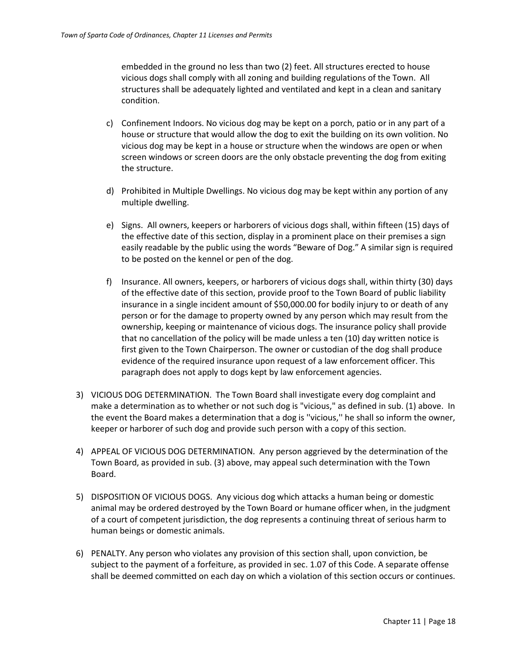embedded in the ground no less than two (2) feet. All structures erected to house vicious dogs shall comply with all zoning and building regulations of the Town. All structures shall be adequately lighted and ventilated and kept in a clean and sanitary condition.

- c) Confinement Indoors. No vicious dog may be kept on a porch, patio or in any part of a house or structure that would allow the dog to exit the building on its own volition. No vicious dog may be kept in a house or structure when the windows are open or when screen windows or screen doors are the only obstacle preventing the dog from exiting the structure.
- d) Prohibited in Multiple Dwellings. No vicious dog may be kept within any portion of any multiple dwelling.
- e) Signs. All owners, keepers or harborers of vicious dogs shall, within fifteen (15) days of the effective date of this section, display in a prominent place on their premises a sign easily readable by the public using the words "Beware of Dog." A similar sign is required to be posted on the kennel or pen of the dog.
- f) Insurance. All owners, keepers, or harborers of vicious dogs shall, within thirty (30) days of the effective date of this section, provide proof to the Town Board of public liability insurance in a single incident amount of \$50,000.00 for bodily injury to or death of any person or for the damage to property owned by any person which may result from the ownership, keeping or maintenance of vicious dogs. The insurance policy shall provide that no cancellation of the policy will be made unless a ten (10) day written notice is first given to the Town Chairperson. The owner or custodian of the dog shall produce evidence of the required insurance upon request of a law enforcement officer. This paragraph does not apply to dogs kept by law enforcement agencies.
- 3) VICIOUS DOG DETERMINATION. The Town Board shall investigate every dog complaint and make a determination as to whether or not such dog is "vicious," as defined in sub. (1) above. In the event the Board makes a determination that a dog is ''vicious,'' he shall so inform the owner, keeper or harborer of such dog and provide such person with a copy of this section.
- 4) APPEAL OF VICIOUS DOG DETERMINATION. Any person aggrieved by the determination of the Town Board, as provided in sub. (3) above, may appeal such determination with the Town Board.
- 5) DISPOSITION OF VICIOUS DOGS. Any vicious dog which attacks a human being or domestic animal may be ordered destroyed by the Town Board or humane officer when, in the judgment of a court of competent jurisdiction, the dog represents a continuing threat of serious harm to human beings or domestic animals.
- 6) PENALTY. Any person who violates any provision of this section shall, upon conviction, be subject to the payment of a forfeiture, as provided in sec. 1.07 of this Code. A separate offense shall be deemed committed on each day on which a violation of this section occurs or continues.